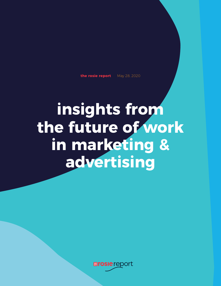### **the rosie report** May 28, 2020

**insights from the future of work in marketing & advertising**

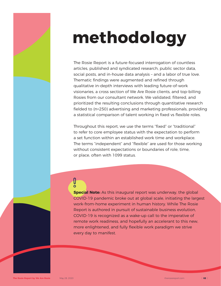The Rosie Report is a future-focused interrogation of countless articles, published and syndicated research, public sector data, social posts, and in-house data analysis – and a labor of true love. Thematic findings were augmented and refined through qualitative in-depth interviews with leading future-of-work visionaries, a cross section of We Are Rosie clients, and top-billing Rosies from our consultant network. We validated, filtered, and prioritized the resulting conclusions through quantitative research fielded to (n=250) advertising and marketing professionals, providing a statistical comparison of talent working in fixed vs flexible roles.

Throughout this report, we use the terms "fixed" or "traditional" to refer to core employee status with the expectation to perform a set function within an established work time and workplace. The terms "independent" and "flexible" are used for those working without consistent expectations or boundaries of role, time, or place, often with 1099 status.

**Special Note:** As this inaugural report was underway, the global COVID-19 pandemic broke out at global scale, initiating the largest work-from-home experiment in human history. While The Rosie

Report is authored in pursuit of sustainable business evolution, COVID-19 is recognized as a wake-up call to the imperative of remote work readiness, and hopefully an accelerant to this new, more enlightened, and fully flexible work paradigm we strive every day to manifest.

**The Rosie Report by We Are Rosie May 28, 2020 therefore** 

 $\mathbf O$ 

# **methodology**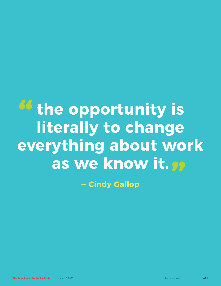



# **the opportunity is literally to change everything about work<br>as we know it. <b>pp as we know it. "**

**― Cindy Gallop**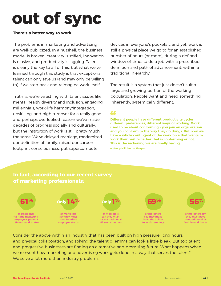# **out of sync**

### **There's a better way to work.**

The problems in marketing and advertising are well-publicized. In a nutshell: the business model is broken, creativity is stifled, innovation is elusive, and productivity is lagging. Talent is clearly the key to all of this, but what we've learned through this study is that exceptional talent can only save us (and may only be willing to) if we step back and reimagine work itself.

Truth is, we're wrestling with talent issues like mental health, diversity and inclusion, engaging millennials, work-life harmony/integration, upskilling, and high turnover for a really good and perhaps overlooked reason: we've made decades of progress socially and culturally, but the institution of work is still pretty much the same. We've delayed marriage, modernized our definition of family, raised our carbon footprint consciousness, put supercomputer

Consider the above within an industry that has been built on high pressure, long hours, and physical collaboration, and solving the talent dilemma can look a little bleak. But top talent and progressive businesses are finding an alternative and promising future. What happens when we reinvent how marketing and advertising work gets done in a way that serves the talent? We solve a lot more than industry problems.

**Different people have different productivity cycles, different preferences, different ways of working. Work used to be about conforming – you join an organization and you conform to the way they do things. But now we have a whole contingent of the workforce that wants to work their best, whether that is conforming or not.**  This is the reckoning we are finally having.

devices in everyone's pockets … and yet, work is still a physical place we go to for an established number of hours (or more), during a defined window of time, to do a job with a prescribed definition and path of advancement, within a traditional hierarchy.

The result is a system that just doesn't suit a large and growing portion of the working population. People want and need something inherently, systemically different.

## **In fact, according to our recent survey of marketing professionals:**

**―** Nancy Hill, Media Sherpas





## **"**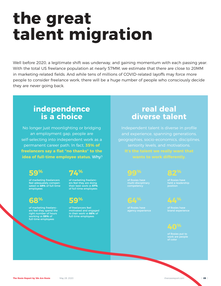# **the great talent migration**

Well before 2020, a legitimate shift was underway, and gaining momentum with each passing year. With the total US freelance population at nearly 57MM, we estimate that there are close to 20MM in marketing-related fields. And while tens of millions of COVID-related layoffs may force more people to consider freelance work, there will be a huge number of people who consciously decide they are never going back.

> Independent talent is diverse in profile and experience, spanning generations, geographies, socio-economics, disciplines, seniority levels, and motivations. **It's the talent we really want that wants to work differently.**

## **independence is a choice**

## **real deal diverse talent**

No longer just moonlighting or bridging an employment gap, people are self-selecting into independent work as a permanent career path. In fact, **35% of**  freelancers say a flat "no thanks" to the  **idea of full-time employee status**. Why?

of marketing freelancers feel adequately compensated vs **49%** of full-time employees



of marketing freelancers feel they are doing their best work vs **57%** of full-time employees



of marketing freelancers feel they spend the right number of hours working vs **59%** of full-time employees

of freelancers feel motivated and engaged in their work vs **66%** of full-time employees

## **59% 74%**



of Rosies have multi-disciplinary competency

of Rosies have held a leadership position

of Rosies have agency experience

of Rosies have brand experience

of Rosies put to work are people of color

The Rosie Report by We Are Rosie May 28, 2020 the rosiereport.com









### **40 %**

| **05** |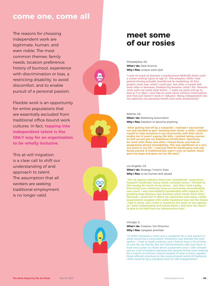## **come one, come all**

The reasons for choosing independent work are legitimate, human, and even noble. The most common themes: family needs, location preference, history of burnout, experience with discrimination or bias, a restricting disability, to avoid discomfort, and to enable pursuit of a personal passion.

Flexible work is an opportunity for entire populations that are essentially excluded from traditional office-bound work cultures. In fact, **tapping into independent talent is the ONLY way for an organization to be wholly inclusive**.

Philadelphia, PA What I do: Data Science **Why I flex:** unique work style

This at-will migration is a clear call to shift our understanding of and approach to talent. The assumption that all workers are seeking traditional employment is no longer valid.



**What I do:** Marketing Automation **Why I flex:** freedom to become anything

**"I was on track to become a professional NASCAR driver until a career-ending injury at age 21. The analytics skills I had**  gained driving actually transferred to marketing. At first, **project work was 'what I could get,' but after a couple fulltime roles in between, freelancing became 'what I do.' Remote work suits my work style better – I wake up early and go to bed at 7 or 8pm. I also like to work alone without interruption, and that just doesn't work in 'AdLand.' Being independent lets me optimize my personal health and work productivity."**

"After getting laid off by a nonprofit, I realized I was burned **out and decided to give 'working from home' a whirl. I pitched myself to help someone in my community with their social media, but it wasn't paying the bills. I started taking courses**  to skill up and got my Salesforce Certification. Searching **for work with these new skills, I found Rosie, and had an**  assignment almost immediately. This was significant at a very low point in my life - I had just filed for bankruptcy and was **being evicted. A traditional job wasn't even an option. Rosie gave me hope and gave me my life back."**

#### Chicago, IL

What I do: Creative / Art Direction

**Why I flex:** caregiver priorities

**"In 2009 I became a mom and a caregiver for a sick parent in what would be a long battle. Freelance was literally the only option – I had to keep working, and I had to have a lot of time to care for my family. But the administrative side was hard. It took me 2 years to chase down a payment once. I also missed out on a lot of projects because the people hiring were looking for a match to narrow criteria instead of who is most capable. Rosie offered structure to the unstructured world of freelance. I feel cared for by a company but I'm still independent."**

#### Atlanta, GA

Los Angeles, CA

What I do: Strategy / Interim Exec **Why I flex:** to be human and valued

**"The ad agency industry favors the 'untethered.' Long hours, frequent weekends, heavy travel, constant stress. I thrived on this energy for much of my career … but then I had a baby. Returning from maternity leave an exclusively breastfeeding new mom, I was immediately bombarded with requests for grueling long-distance new business pitch travel. Each time I declined, I could feel it affect my reputation and status. Unfair expectations coupled with unfair treatment was not the future I had in mind, and I knew it would be the same at any agency, so I went independent and joined Rosie. I still have too much** 



#### **to give to be held back by subconscious bias."**

## **meet some of our rosies**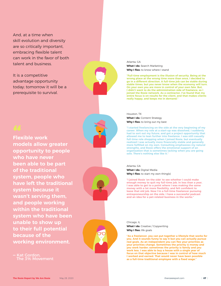And, at a time when skill evolution and diversity are so critically important, embracing flexible talent can work in the favor of both talent and business.

It is a competitive advantage opportunity today; tomorrow it will be a prerequisite to survival.



**Flexible work 66**<br>Flex **models allow greater opportunity to people who have never been able to be part of the traditional system, people who have left the traditional system because it wasn't serving them, and people working within the traditional system who have been unable to show up to their full potential because of the working environment.**



**"As a freelancer, you can put together a lifestyle that works for you. And it sounds funny to say it but you can actually pursue**  real goals. As an independent you can flex your priorities as **your priorities change. Sometimes the priority is money and you work harder; sometimes the priority is family and you work less. I was able to buy a house with a single year of focus on that objective because I was in control of how much I worked and earned. That would never have been possible**  as a full-time traditional employee with a fixed wage."

**―** Kat Gordon, The 3% Movement



#### Atlanta, GA

What I do: Search Marketing **Why I flex:** to know where I stand

#### Houston, TX What I do: Content Strategy

**Why I flex:** to bring out my best

**"Full-time employment is the illusion of security. Being at the wrong place at the wrong time more than once, I decided to go in a different direction. A full-time job can be stable during stable times, but you never know when the economy will turn. On your own you are more in control of your own fate. But, I didn't want to do the administration side of freelance, so I joined the Rosie network. As a contractor, I've found that my entire focus is on results for the client, and that makes clients really happy, and keeps me in demand."**

#### Chicago, IL

What I do: Creative / Copywriting **Why I flex:** life goals

**"I started freelancing on the side at the very beginning of my career. When my role at a start-up was dissolved, I suddenly had to sort out my future, and got a project opportunity that allowed me to lean further into freelance. I was still casually full-time role shopping when I joined Rosie, but eventually realized I was actually more financially stable and generally** more fulfilled on my own. Consulting emphasizes my natural **strengths, and Rosie offers the emotional support of an organization that is sometimes lacking when you are going solo. There's nothing else like it."**

Atlanta, GA

**What I do: Digital Media Why I flex:** to start my own thing(s)

**"I joined Rosie 'on the side' to see whether I could make enough money to quit my full-time job. In less than a year, I was able to get to a point where I was making the same**  money with a lot more flexibility, and felt confident to **leave that old job. Now I'm a full-time freelancer pursuing entrepreneurship on the side. I have a successful podcast and an idea for a pet-related business in the works."**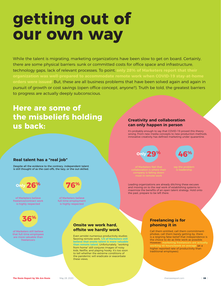**The Rosie Report by We Are Rosie** May 28, 2020 therosiereport.com

# **getting out of our own way**

While the talent is migrating, marketing organizations have been slow to get on board. Certainly, there are some physical barriers: sunk or committed costs for office space and infrastructure, technology gaps, lack of relevant processes. To point, **only 28% of Marketers report that their organization was well-prepared to accommodate remote work when COVID-19 stay-at-home orders were issued**. But, these are all business problems that have been solved again and again in pursuit of growth or cost savings (open office concept, anyone?). Truth be told, the greatest barriers to progress are actually deeply subconscious.

# **Here are some of the misbeliefs holding us back:**

### **Real talent has a "real job"**

Despite all the evidence to the contrary, independent talent is still thought of as the cast-offs, the lazy, or the out-skilled.

of Marketers still believe that full-time employees are more valuable than freelancers



of Marketers believe full-time employment is highly respected



of Marketers believe freelance/contract work is highly respected



### **Onsite we work hard, offsite we hardly work**

Even amidst numerous productivity studies favoring remote work, **1/3 of Marketers still believe that onsite talent is more valuable than remote talent**. Unfortunately, "working from home" still conjures images of noisy kids, Netflix, and playing hooky. It's too soon to tell whether the extreme conditions of the pandemic will eradicate or exacerbate these views.

### **Creativity and collaboration can only happen in person**

It's probably enough to say that COVID-19 proved this theory wrong. From new media concepts to new production methods, innovative creativity has defined marketing under quarantine.

### **Freelancing is for phoning it in**

Call them entitled, call them commitmentphobes, call them barely getting by, there is a reigning false belief that independence is the choice to do as little work as possible. However, **marketing freelancers are actually working 45 hours/week on average** (at a higher reported rate of productivity than traditional employees).

Leading organizations are already ditching these excuses and moving on to the real work of establishing systems to maximize the benefits of an open talent strategy. Hold onto the past, prepare to be left there.

say the problem is leadership

**46 %**

of Marketers feel that collaboration is where their company is falling down most in remote work



| **08** |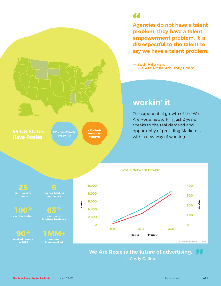

**Agencies do not have a talent problem, they have a talent empowerment problem. It is disrespectful to the talent to say we have a talent problem.**  66<br>Age

## **workin' it**

**―** Seth Hittman, We Are Rosie Advisory Board

## **We Are Rosie is the future of advertising. ―** Cindy Gallop **"**

The exponential growth of the We Are Rosie network in just 2 years speaks to the real demand and opportunity of providing Marketers with a new way of working.

#### **Rosie Network Growth**



## **45 US States Have Rosies**

**99% male/female pay parity**

**<1% Rosie consultant turnover**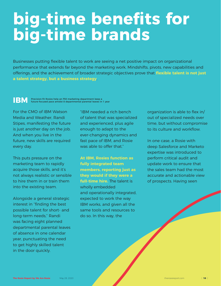

For the CMO of IBM Watson Media and Weather, Randi Stipes, manifesting the future is just another day on the job. And when you live in the future, new skills are required every day.

Alongside a general strategic interest in "finding the best

This puts pressure on the marketing team to rapidly acquire those skills, and it's not always realistic or sensible to hire them in or train them into the existing team.

possible talent for short- and long-term needs," Randi was facing eight planned departmental parental leaves of absence in one calendar year, punctuating the need to get highly skilled talent in the door quickly.

"IBM needed a rich bench of talent that was specialized and experienced, plus agile enough to adapt to the ever-changing dynamics and fast pace of IBM, and Rosie was able to offer that."

# big-time benefits for **big-time brands**

Businesses putting flexible talent to work are seeing a net positive impact on organizational performance that extends far beyond the marketing work. Mindshifts, pivots, new capabilities and offerings, and the achievement of broader strategic objectives prove that **flexible talent is not just a talent strategy, but a business strategy**.

> **At IBM, Rosies function as fully integrated team members, reporting just as they would if they were a full-time hire.** The talent is wholly embedded and operationally integrated, expected to work the way IBM works, and given all the

same tools and resources to

do so. In this way, the

organization is able to flex in/ out of specialized needs over time, but without compromise to its culture and workflow.

In one case, a Rosie with deep Salesforce and Marketo expertise was introduced to perform critical audit and update work to ensure that the sales team had the most accurate and actionable view of prospects. Having seen

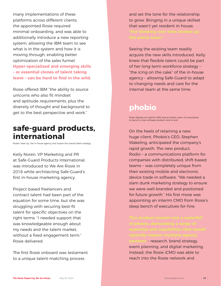# **safe-guard products, international**

Kelly Noren, VP Marketing and PR at Safe-Guard Products International, was introduced to We Are Rosie in 2018 while architecting Safe-Guard's first in-house marketing agency.

Rosies "level up" the in-house agency and inspire the overall talent strategy

The first Rosie onboard was testament to a unique talent-matching process

many implementations of these platforms across different clients, the appointed Rosie required minimal onboarding, and was able to additionally introduce a new reporting system, allowing the IBM team to see what is in the system and how it is moving through, enabling better optimization of the sales funnel. **Hyper-specialized and emerging skills – or essential clones of talent taking**  leave – can be hard to find in the wild.

Project-based freelancers and contract talent had been part of the equation for some time, but she was struggling with securing best-fit talent for specific objectives on the right terms. "I needed support that was knowledgeable enough about my needs and the talent market, without a fixed engagement term." Rosie delivered.

Rosie offered IBM "the ability to source unicorns who also fit mindset and aptitude requirements, plus the

diversity of thought and background to get to the best perspective and work."

and set the tone for the relationship to grow. Bringing in a unique skillset that wasn't yet resident in-house,

Seeing the existing team readily acquire the new skills introduced, Kelly knew that flexible talent could be part of her long-term workforce strategy – "the icing on the cake" of the in-house agency – allowing Safe-Guard to adapt to changing needs and care for the internal team at the same time.

Rosie deploys an interim CMO and an elastic team of consultants to launch a new software product end-to-end

On the heels of retaining a new huge client, Phobio's CEO, Stephen Wakeling, anticipated the company's rapid growth. The new product, Rodio – a communications platform for companies with distributed, shift-based teams – was completely unique from their existing mobile and electronic device trade-in software. "We needed a slam dunk marketing strategy to ensure we were well-branded and positioned for future growth." His first move was appointing an interim CMO from Rosie's deep bench of executives-for-hire.

**partners** – research, brand strategy, event planning, and digital marketing. Instead, the Rosie iCMO was able to reach into the Rosie network and

## **phobio**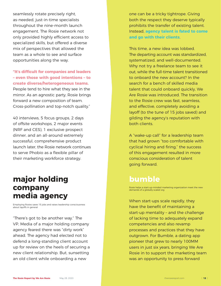seamlessly rotate precisely right, as-needed, just-in-time specialists throughout the nine-month launch engagement. The Rosie network not only provided highly efficient access to specialized skills, but offered a diverse mix of perspectives that allowed the team as a whole to see and surface opportunities along the way.

"It's difficult for companies and leaders **– even those with good intentions – to create diverse/heterogeneous teams.**  People tend to hire what they see in the mirror. As an agnostic party, Rosie brings forward a new composition of team.

Cross-pollination and top-notch quality."

40 interviews, 5 focus groups, 2 days of offsite workshops, 2 major events (NRF and CES), 1 exclusive prospect dinner, and an all-around extremely successful, comprehensive product launch later, the Rosie network continues to serve Phobio as a flexible pillar of their marketing workforce strategy.

Employing Rosies saves 15 jobs and raises leadership consciousness about layoffs in general

"There's got to be another way." The VP, Media of a major holding company agency feared there was "dirty work" ahead. The agency had elected not to defend a long-standing client account up for review on the heels of securing a new client relationship. But, sunsetting an old client while onboarding a new

When start-ups scale rapidly, they have the benefit of maintaining a start-up mentality – and the challenge of lacking time to adequately expand competencies and also revamp processes and practices that they have outgrown. For Bumble, a dating app pioneer that grew to nearly 100MM users in just six years, bringing We Are Rosie in to support the marketing team was an opportunity to press forward

one can be a tricky tightrope. Giving both the respect they deserve typically prohibits the transfer of existing talent. Instead, **agency talent is fated to come and go with their clients**.

This time, a new idea was lobbed. The departing account was standardized, systematized, and well-documented. Why not try a freelance team to see it out, while the full-time talent transitioned to onboard the new account? In the search for a bench of skilled media talent that could onboard quickly, We Are Rosie was introduced. The transition to the Rosie crew was fast, seamless,

and effective, completely avoiding a layoff (to the tune of 15 jobs saved) and gilding the agency's reputation with both clients.

A "wake-up call" for a leadership team that had grown "too comfortable with cyclical hiring and firing," the success of this engagement resulted in more conscious consideration of talent going forward.

# **major holding company media agency**

## **bumble**

Rosie helps a start-up-minded marketing organization meet the new demands of a globally scaled org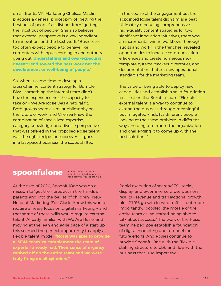on all fronts. VP, Marketing Chelsea Maclin practices a general philosophy of "getting the best out of people" as distinct from "getting the most out of people." She also believes that external perspective is a key ingredient to innovation, and the best work. "Businesses too often expect people to behave like computers with inputs coming in and outputs going out. **Understaffi ng and over-expecting doesn't lend toward the best work nor the development or well-being of people.**"

So, when it came time to develop a cross-channel content strategy for Bumble Bizz – something the internal team didn't have the experience nor the capacity to take on - We Are Rosie was a natural fit. Both groups share a similar philosophy on the future of work, and Chelsea knew the combination of specialized expertise, category knowledge, and diverse perspective that was offered in the proposed Rosie talent was the right recipe for success. As it goes in a fast-paced business, the scope shifted

At the turn of 2020, SpoonfulOne was on a mission to "get their product in the hands of parents and into the bellies of children." New Head of Marketing, Zoe Glade, knew this would require a heavy focus on digital marketing – and that some of these skills would require external talent. Already familiar with We Are Rosie, and moving at the lean and agile pace of a start-up, this seemed the perfect opportunity to apply a flexible talent model. "Rosie was able to provide **a 'SEAL team' to complement the team of experts I already had. Their sense of urgency rubbed off on the entire team and we were**  truly firing on all cylinders."

in the course of the engagement but the appointed Rosie talent didn't miss a beat. Ultimately producing comprehensive, high-quality content strategies for two significant innovation initiatives, there was an incremental win in workflow. Thorough audits and work "in the trenches" revealed opportunities to increase communication efficiencies and create numerous new template systems, trackers, directories, and documentation that set new operational standards for the marketing team.

The value of being able to deploy new capabilities and establish a solid foundation isn't lost on the Bumble team. "Flexible external talent is a way to continue to extend the business through meaningful – but mitigated – risk. It's different people looking at the same problem in different ways, holding a mirror to the organization and challenging it to come up with the best solutions."

# **spoonfulone**

Rapid execution of search/SEO, social, display, and e-commerce drove business results – revenue and transactional growth plus 210% growth in web traffic - but more importantly, "boosted the morale of the entire team as we started being able to talk about success." The work of the Rosie team helped Zoe establish a foundation of digital marketing and a model for future efforts. And Rosies continue to provide SpoonfulOne with the "flexible" staffing structure to ebb and flow with the business that is so imperative."

A "SEAL team" of Rosies establish a digital foundation for a growth-focused start-up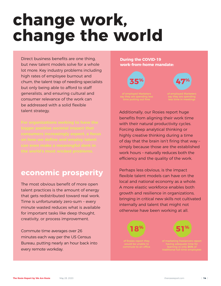# **change work, change the world**

Direct business benefits are one thing, but new talent models solve for a whole lot more. Key industry problems including high rates of employee burnout and churn, the talent trap of needing specialists but only being able to afford to staff generalists, and ensuring cultural and consumer relevance of the work can

be addressed with a solid flexible talent strategy.

The most obvious benefit of more open talent practices is the amount of energy that gets redistributed toward real work. Time is unfortunately zero-sum – every minute wasted reduces what is available for important tasks like deep thought, creativity, or process improvement.

Additionally, our Rosies report huge benefits from aligning their work time with their natural productivity cycles. Forcing deep analytical thinking or highly creative thinking during a time of day that the brain isn't firing that way simply because those are the established work hours – naturally reduces both the efficiency and the quality of the work.

of Rosies report they would be unable to commute to an office

Commute time averages over 26 minutes each way per the US Census Bureau, putting nearly an hour back into every remote workday.

## **economic prosperity**

Perhaps less obvious, is the impact flexible talent models can have on the local and national economy as a whole. A more elastic workforce enables both growth and resilience in organizations, bringing in critical new skills not cultivated internally and talent that might not

### otherwise have been working at all.

## **During the COVID-19 work-from-home mandate:**



of employed Marketers say they are spending less time in meetings



**47 %**



of marketing freelancers report having adequate time for learning vs only **24%** of traditional full-time employees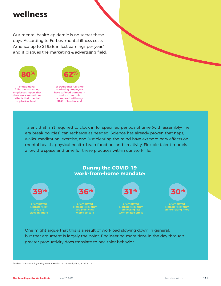Our mental health epidemic is no secret these days. According to Forbes, mental illness costs America up to \$193B in lost earnings per year,<sup>1</sup> and it plagues the marketing & advertising field:

<sup>1</sup>Forbes, "The Cost Of Ignoring Mental Health In The Workplace," April 2019

The Rosie Report by We Are Rosie May 28, 2020 the rosiereport.com

# **wellness**

of traditional full-time marketing employees report that their work sometimes affects their mental or physical health



Talent that isn't required to clock in for specified periods of time (with assembly-line era break policies) can recharge as needed. Science has already proven that naps, walks, meditation, exercise, and just clearing the mind have extraordinary effects on mental health, physical health, brain function, and creativity. Flexible talent models allow the space and time for these practices within our work life.

of traditional full-time marketing employees have suffered burnout in their current role (compared with only **36%** of freelancers)



of employed Marketers say

One might argue that this is a result of workload slowing down in general, but that argument is largely the point. Engineering more time in the day through greater productivity does translate to healthier behavior.

## **During the COVID-19 work-from-home mandate:**

they are sleeping more



of employed **Marketers say they** are feeling less work-related stress



of employed **Marketers** say they are exercising more



of employed **Marketers say they** are practicing more self-care

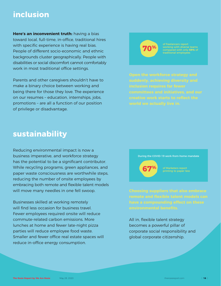**Here's an inconvenient truth:** having a bias toward local, full-time, in-office, traditional hires with specific experience is having real bias. People of different socio-economic and ethnic backgrounds cluster geographically. People with disabilities or social discomfort cannot comfortably work in most traditional office settings.

Parents and other caregivers shouldn't have to make a binary choice between working and being there for those they love. The experience on our resumes – education, internships, jobs, promotions – are all a function of our position of privilege or disadvantage.

# **inclusion**

# **sustainability**

All in, flexible talent strategy becomes a powerful pillar of corporate social responsibility and global corporate citizenship.

**Open the workforce strategy and suddenly, achieving diversity and inclusion requires far fewer committees and initiatives, and our creative work starts to reflect the** 

Reducing environmental impact is now a business imperative, and workforce strategy has the potential to be a significant contributor. While recycling programs, green appliances, and paper waste consciousness are worthwhile steps, reducing the number of onsite employees by embracing both remote and flexible talent models will move many needles in one fell swoop.

Businesses skilled at working remotely

**Choosing suppliers that also embrace remote and flexible talent models can have a compounding effect on these** 

will find less occasion for business travel. Fewer employees required onsite will reduce commute-related carbon emissions. More lunches at home and fewer late-night pizza parties will reduce employee food waste. Smaller and fewer office real estate spaces will reduce in-office energy consumption.

### environmental benefits.

#### **world we actually live in.**



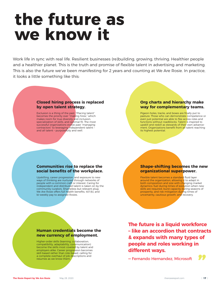# **the future as we know it**

**The future is a liquid workforce – like an accordion that contracts & expands with many types of people and roles working in different ways.** 

**―** Fernando Hernandez, Microsoft

Work life in sync with real life. Resilient businesses (re)building, growing, thriving. Healthier people and a healthier planet. This is the truth and promise of flexible talent in advertising and marketing. This is also the future we've been manifesting for 2 years and counting at We Are Rosie. In practice, it looks a little something like this:

# **Closed hiring process is replaced by open talent strategy.**

Pigeon-holes, tracks, and boxes are finally put to pasture. Those who can demonstrate competence or even just potential are able to flex across roles and functions without roadblocks. Talent is inspired to upskill and reskill as stewards of their own advancement. Organizations benefit from all talent reaching its highest potential.

### **Communities rise to replace the**  social benefits of the workplace.

Exclusion is a thing of the past. "Placing talent" becomes the priority over "making hires," which makes room for true diversity and inclusion, specialization of skills, and optimal fit. The most successful organizations evolve past "managing contractors" to leveraging independent talent and all talent – purposefully and well.



## **way for complementary teams.**

Flexible talent becomes a standard fluid layer around the organization, allowing it to adapt in both composition and size with changing market dynamics: fuel during times of evolution when new skills are required, burst capacity during seasons of prosperity, and risk mitigation during times of uncertainty, cautious growth, and recovery.

Higher-order skills (learning, collaboration, compatibility, adaptability, communication) become the skills most coveted by talent and employers alike. Career progression becomes skill-based rather than role-based, calling for a complete overhaul of job descriptions and Exili-based rather than role-based, calling for<br>a complete overhaul of job descriptions and<br>resumes as we know them.<br>**"**<br>**"Fernando Hernandez, Microsoft"** 

Upskilling, career progression, and exposure to new ways of thinking are nurtured through networks of people with a common craft or interest. Caring for independent and distributed talent is taken on by the community curators. Shameless but relevant plug: We Are Rosie offers full health benefits, 401(k), and bi-weekly pay to assigned Rosies.

### **Shape-shifting becomes the new organizational superpower.**

### **Human credentials become the new currency of employment.**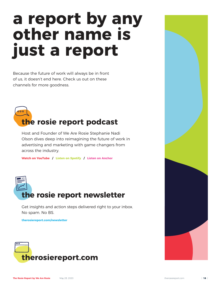# **a report by any other name is just a report**

Because the future of work will always be in front of us, it doesn't end here. Check us out on these channels for more goodness.





The Rosie Report by We Are Rosie May 28, 2020 the rosiereport.com

# 000 **the rosie report podcast**

Host and Founder of We Are Rosie Stephanie Nadi Olson dives deep into reimagining the future of work in advertising and marketing with game changers from across the industry.

**Watch on YouTube / Listen on Spotify / Listen on Anchor**

Get insights and action steps delivered right to your inbox.

No spam. No BS.

**therosiereport.com/newsletter**



| **18** |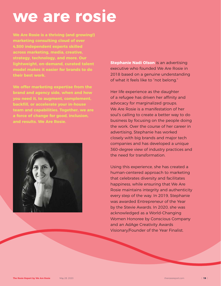# **we are rosie**

**We Are Rosie is a thriving (and growing!) marketing consulting cloud of over 4,500 independent experts skilled across marketing, media, creative, strategy, technology, and more. Our lightweight, on-demand, curated talent model makes it easier for brands to do their best work.** 

**We offer marketing expertise from the brand and agency side, when and how you need it, to augment, complement, backfi ll, or accelerate your in-house team and capabilities. Together, we are a force of change for good, inclusion, and results. We Are Rosie.**

**Stephanie Nadi Olson** is an advertising executive who founded We Are Rosie in 2018 based on a genuine understanding of what it feels like to "not belong."

Her life experience as the daughter of a refugee has driven her affinity and advocacy for marginalized groups. We Are Rosie is a manifestation of her soul's calling to create a better way to do business by focusing on the people doing the work. Over the course of her career in advertising, Stephanie has worked closely with big brands and major tech companies and has developed a unique 360-degree view of industry practices and the need for transformation.



Using this experience, she has created a human-centered approach to marketing that celebrates diversity and facilitates happiness, while ensuring that We Are Rosie maintains integrity and authenticity every step of the way. In 2019, Stephanie was awarded Entrepreneur of the Year by the Stevie Awards. In 2020, she was acknowledged as a World-Changing Women Honoree by Conscious Company and an AdAge Creativity Awards Visionary/Founder of the Year Finalist.